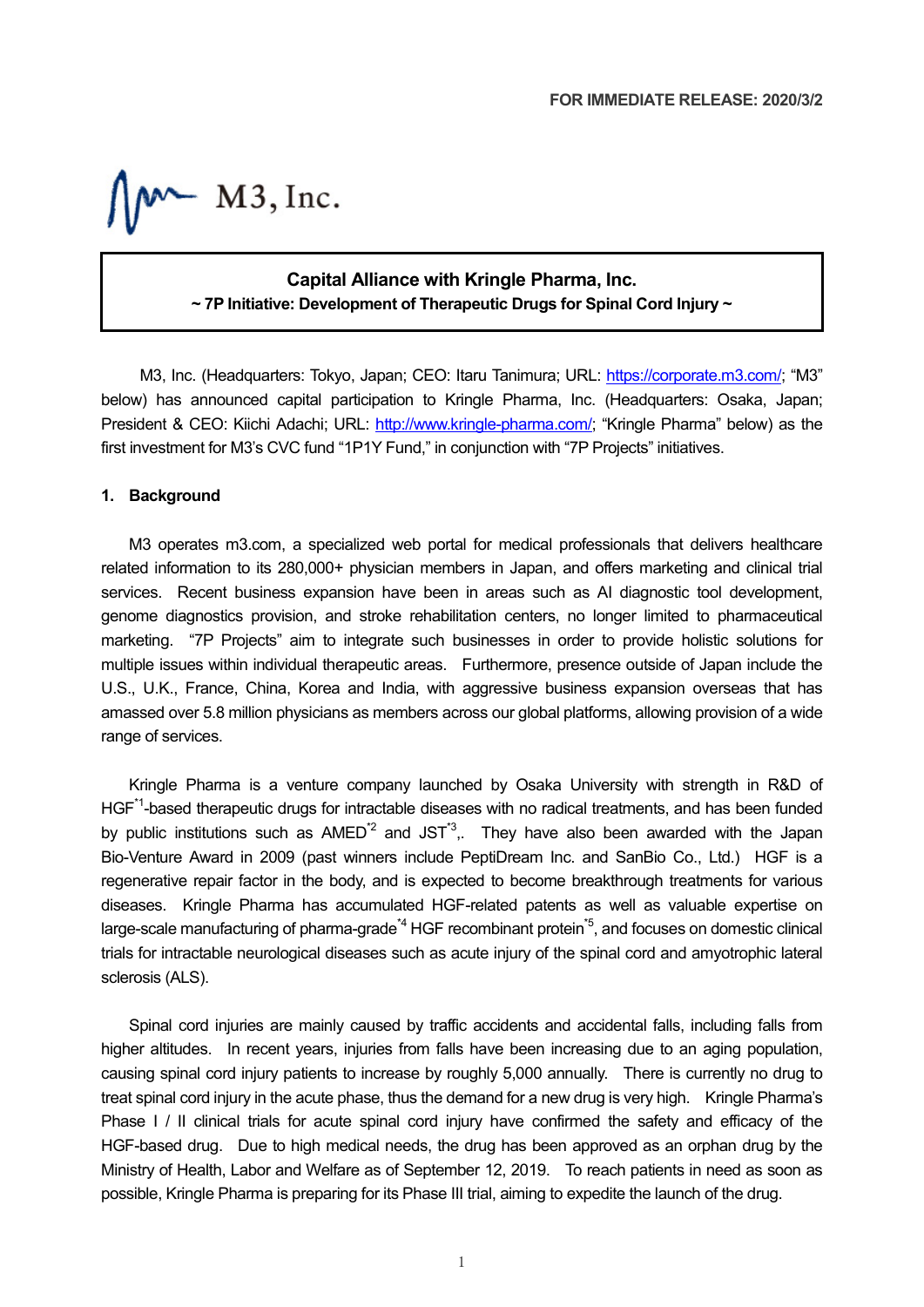$M$  M3, Inc.

# **Capital Alliance with Kringle Pharma, Inc. ~ 7P Initiative: Development of Therapeutic Drugs for Spinal Cord Injury ~**

M3, Inc. (Headquarters: Tokyo, Japan; CEO: Itaru Tanimura; URL: [https://corporate.m3.com/;](https://corporate.m3.com/) "M3" below) has announced capital participation to Kringle Pharma, Inc. (Headquarters: Osaka, Japan; President & CEO: Kiichi Adachi; URL: [http://www.kringle-pharma.com/;](http://www.kringle-pharma.com/) "Kringle Pharma" below) as the first investment for M3's CVC fund "1P1Y Fund," in conjunction with "7P Projects" initiatives.

#### **1. Background**

M3 operates m3.com, a specialized web portal for medical professionals that delivers healthcare related information to its 280,000+ physician members in Japan, and offers marketing and clinical trial services. Recent business expansion have been in areas such as AI diagnostic tool development, genome diagnostics provision, and stroke rehabilitation centers, no longer limited to pharmaceutical marketing. "7P Projects" aim to integrate such businesses in order to provide holistic solutions for multiple issues within individual therapeutic areas. Furthermore, presence outside of Japan include the U.S., U.K., France, China, Korea and India, with aggressive business expansion overseas that has amassed over 5.8 million physicians as members across our global platforms, allowing provision of a wide range of services.

Kringle Pharma is a venture company launched by Osaka University with strength in R&D of HGF<sup>\*1</sup>-based therapeutic drugs for intractable diseases with no radical treatments, and has been funded by public institutions such as  $AMED^2$  and JST<sup>3</sup>,. They have also been awarded with the Japan Bio-Venture Award in 2009 (past winners include PeptiDream Inc. and SanBio Co., Ltd.) HGF is a regenerative repair factor in the body, and is expected to become breakthrough treatments for various diseases. Kringle Pharma has accumulated HGF-related patents as well as valuable expertise on large-scale manufacturing of pharma-grade<sup>\*4</sup> HGF recombinant protein<sup>\*5</sup>, and focuses on domestic clinical trials for intractable neurological diseases such as acute injury of the spinal cord and amyotrophic lateral sclerosis (ALS).

Spinal cord injuries are mainly caused by traffic accidents and accidental falls, including falls from higher altitudes. In recent years, injuries from falls have been increasing due to an aging population, causing spinal cord injury patients to increase by roughly 5,000 annually. There is currently no drug to treat spinal cord injury in the acute phase, thus the demand for a new drug is very high. Kringle Pharma's Phase I / II clinical trials for acute spinal cord injury have confirmed the safety and efficacy of the HGF-based drug. Due to high medical needs, the drug has been approved as an orphan drug by the Ministry of Health, Labor and Welfare as of September 12, 2019. To reach patients in need as soon as possible, Kringle Pharma is preparing for its Phase III trial, aiming to expedite the launch of the drug.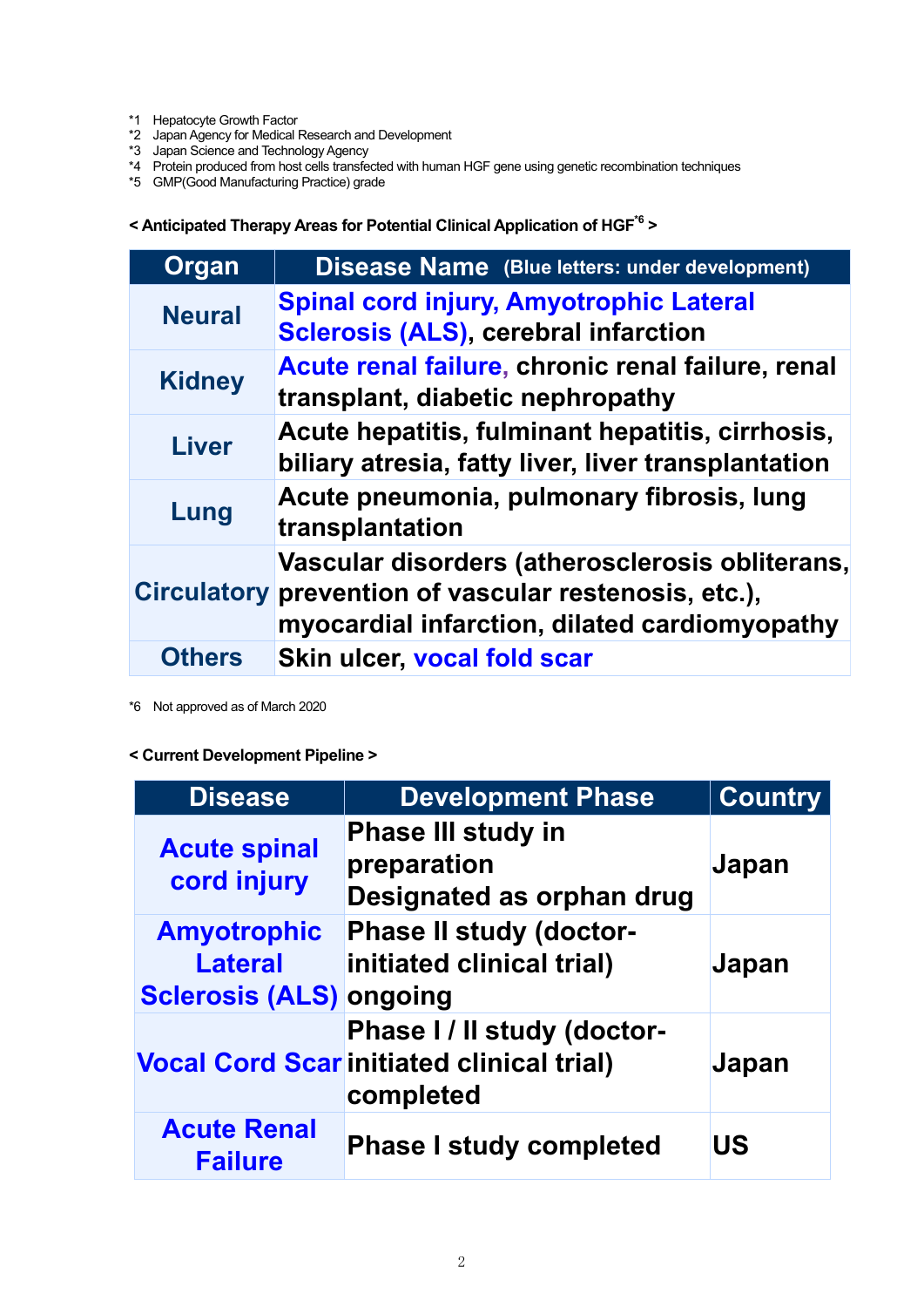- \*1 Hepatocyte Growth Factor
- \*2 Japan Agency for Medical Research and Development
- \*3 Japan Science and Technology Agency
- \*4 Protein produced from host cells transfected with human HGF gene using genetic recombination techniques
- \*5 GMP(Good Manufacturing Practice) grade

**< Anticipated Therapy Areas for Potential Clinical Application of HGF\*6 >**

| Organ         | <b>Disease Name</b> (Blue letters: under development)                                                                                                     |
|---------------|-----------------------------------------------------------------------------------------------------------------------------------------------------------|
| <b>Neural</b> | <b>Spinal cord injury, Amyotrophic Lateral</b><br><b>Sclerosis (ALS), cerebral infarction</b>                                                             |
| <b>Kidney</b> | Acute renal failure, chronic renal failure, renal<br>transplant, diabetic nephropathy                                                                     |
| <b>Liver</b>  | Acute hepatitis, fulminant hepatitis, cirrhosis,<br>biliary atresia, fatty liver, liver transplantation                                                   |
| Lung          | Acute pneumonia, pulmonary fibrosis, lung<br>transplantation                                                                                              |
|               | Vascular disorders (atherosclerosis obliterans,<br>Circulatory prevention of vascular restenosis, etc.),<br>myocardial infarction, dilated cardiomyopathy |
| <b>Others</b> | Skin ulcer, vocal fold scar                                                                                                                               |

\*6 Not approved as of March 2020

## **< Current Development Pipeline >**

| <b>Disease</b>                                                         | <b>Development Phase</b>                                                                     | <b>Country</b> |
|------------------------------------------------------------------------|----------------------------------------------------------------------------------------------|----------------|
| <b>Acute spinal</b><br>cord injury                                     | <b>Phase III study in</b><br>preparation<br>Designated as orphan drug                        | <b>Japan</b>   |
| <b>Amyotrophic</b><br><b>Lateral</b><br><b>Sclerosis (ALS) ongoing</b> | <b>Phase II study (doctor-</b><br>initiated clinical trial)                                  | <b>Japan</b>   |
|                                                                        | Phase I / II study (doctor-<br><b>Vocal Cord Scar initiated clinical trial)</b><br>completed | Japan          |
| <b>Acute Renal</b><br><b>Failure</b>                                   | <b>Phase I study completed</b>                                                               | <b>US</b>      |